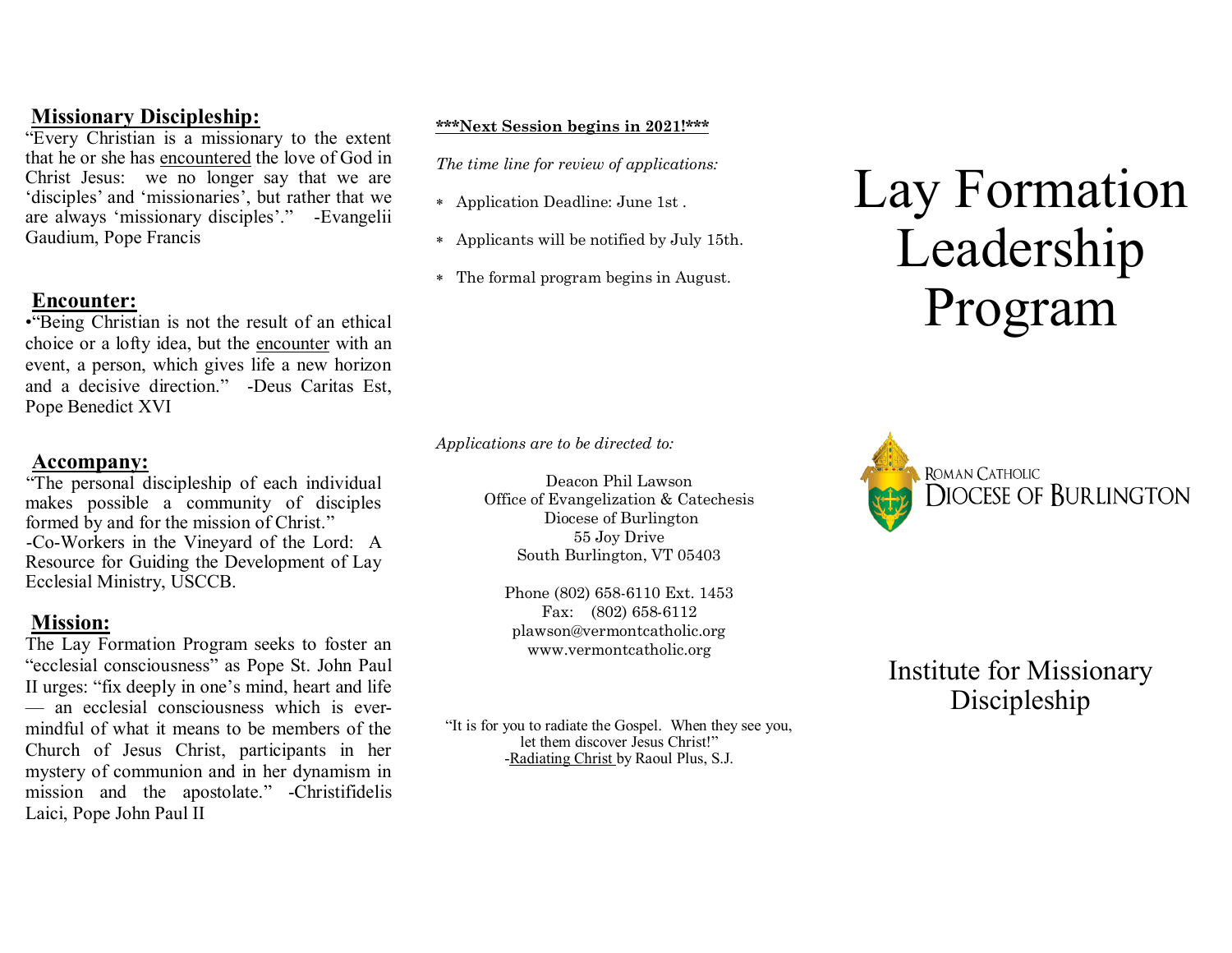## **Missionary Discipleship:**

"Every Christian is a missionary to the extent that he or she has encountered the love of God in Christ Jesus: we no longer say that we are 'disciples' and 'missionaries', but rather that we are always 'missionary disciples'." -Evangelii Gaudium, Pope Francis

## **Encounter:**

•"Being Christian is not the result of an ethical choice or a lofty idea, but the encounter with an event, a person, which gives life a new horizon and a decisive direction." -Deus Caritas Est, Pope Benedict XVI

# **Accompany:**

"The personal discipleship of each individual makes possible a community of disciples formed by and for the mission of Christ." -Co-Workers in the Vineyard of the Lord: A Resource for Guiding the Development of Lay Ecclesial Ministry, USCCB.

## **Mission:**

The Lay Formation Program seeks to foster an "ecclesial consciousness" as Pope St. John Paul II urges: "fix deeply in one's mind, heart and life — an ecclesial consciousness which is evermindful of what it means to be members of the Church of Jesus Christ, participants in her mystery of communion and in her dynamism in mission and the apostolate." -Christifidelis Laici, Pope John Paul II

#### **\*\*\*Next Session begins in 2021!\*\*\***

*The time line for review of applications:*

- Application Deadline: June 1st .
- Applicants will be notified by July 15th.
- The formal program begins in August.

*Applications are to be directed to:*

Deacon Phil Lawson Office of Evangelization & Catechesis Diocese of Burlington 55 Joy Drive South Burlington, VT 05403

Phone (802) 658-6110 Ext. 1453 Fax: (802) 658-6112 plawson@vermontcatholic.org www.vermontcatholic.org

"It is for you to radiate the Gospel. When they see you, let them discover Jesus Christ!" -Radiating Christ by Raoul Plus, S.J.

# Lay Formation Leadership Program



Institute for Missionary Discipleship